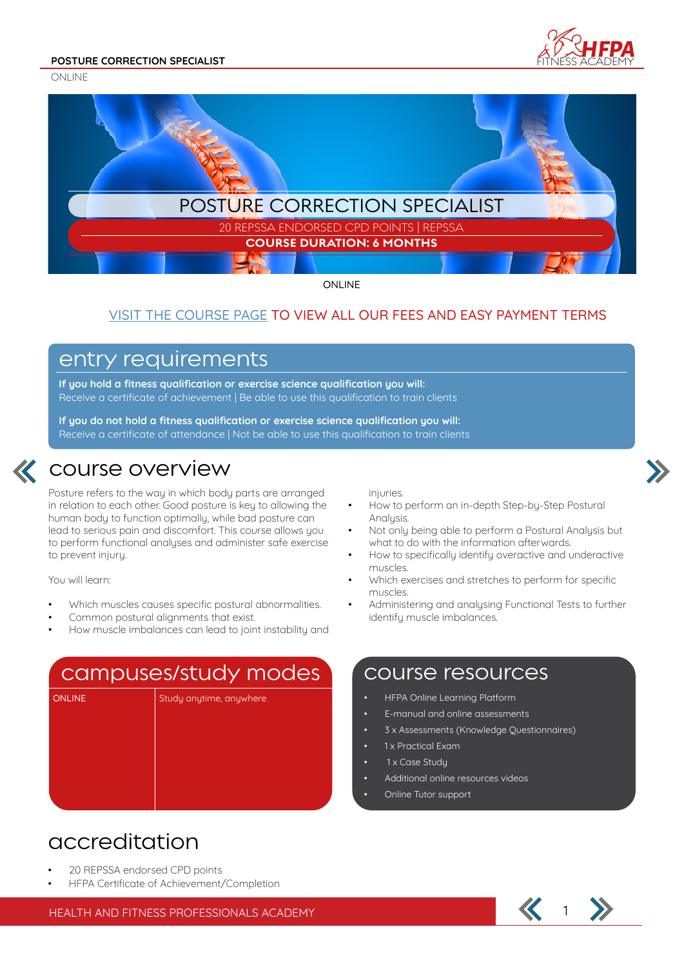



ONLINE

### VISIT THE COURSE PAGE TO VIEW ALL OUR FEES AND EASY PAYMENT TERMS

### entry requirements

**If you hold a fitness qualification or exercise science qualification you will:** Receive a certificate of achievement | Be able to use this qualification to train clients

**If you do not hold a fitness qualification or exercise science qualification you will:** Receive a certificate of attendance | Not be able to use this qualification to train clients



### course overview

Posture refers to the way in which body parts are arranged in relation to each other. Good posture is key to allowing the human body to function optimally, while bad posture can lead to serious pain and discomfort. This course allows you to perform functional analyses and administer safe exercise to prevent injury.

You will learn:

- Which muscles causes specific postural abnormalities.
- Common postural alignments that exist.
- How muscle imbalances can lead to joint instability and

### campuses/study modes

ONLINE Study anytime, anywhere

injuries.

- How to perform an in-depth Step-by-Step Postural Analysis.
- Not only being able to perform a Postural Analysis but what to do with the information afterwards.
- How to specifically identify overactive and underactive muscles.
- Which exercises and stretches to perform for specific muscles.
- Administering and analysing Functional Tests to further identify muscle imbalances.

### course resources

- HFPA Online Learning Platform
- E-manual and online assessments
- 3 x Assessments (Knowledge Questionnaires)
- 1 x Practical Exam
- 1 x Case Studu
- Additional online resources videos
- Online Tutor support

## accreditation

- 20 REPSSA endorsed CPD points
- HFPA Certificate of Achievement/Completion

HEALTH AND FITNESS PROFESSIONALS ACADEMY 1